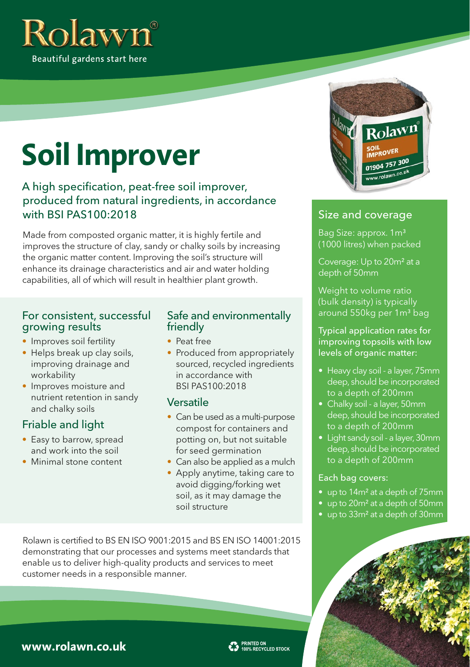

# **Soil Improver**

#### A high specification, peat-free soil improver, produced from natural ingredients, in accordance with BSI PAS100:2018

Made from composted organic matter, it is highly fertile and improves the structure of clay, sandy or chalky soils by increasing the organic matter content. Improving the soil's structure will enhance its drainage characteristics and air and water holding capabilities, all of which will result in healthier plant growth.

#### For consistent, successful growing results

- Improves soil fertility
- Helps break up clay soils, improving drainage and workability
- Improves moisture and nutrient retention in sandy and chalky soils

#### Friable and light

- Easy to barrow, spread and work into the soil
- Minimal stone content

#### Safe and environmentally friendly

- Peat free
- Produced from appropriately sourced, recycled ingredients in accordance with BSI PAS100:2018

#### Versatile

- Can be used as a multi-purpose compost for containers and potting on, but not suitable for seed germination
- Can also be applied as a mulch
- Apply anytime, taking care to avoid digging/forking wet soil, as it may damage the soil structure

Rolawn is certified to BS EN ISO 9001:2015 and BS EN ISO 14001:2015 demonstrating that our processes and systems meet standards that enable us to deliver high-quality products and services to meet customer needs in a responsible manner.



#### Size and coverage

Bag Size: approx. 1m<sup>3</sup> (1000 litres) when packed

Coverage: Up to 20m² at a depth of 50mm

Weight to volume ratio (bulk density) is typically around 550kg per 1m<sup>3</sup> bag

Typical application rates for improving topsoils with low levels of organic matter:

- Heavy clay soil a layer, 75mm deep, should be incorporated to a depth of 200mm
- Chalky soil a layer, 50mm deep, should be incorporated to a depth of 200mm
- Light sandy soil a layer, 30mm deep, should be incorporated to a depth of 200mm

#### Each bag covers:

- up to 14m² at a depth of 75mm
- up to 20m² at a depth of 50mm
- up to 33m² at a depth of 30mm



### **www.rolawn.co.uk**